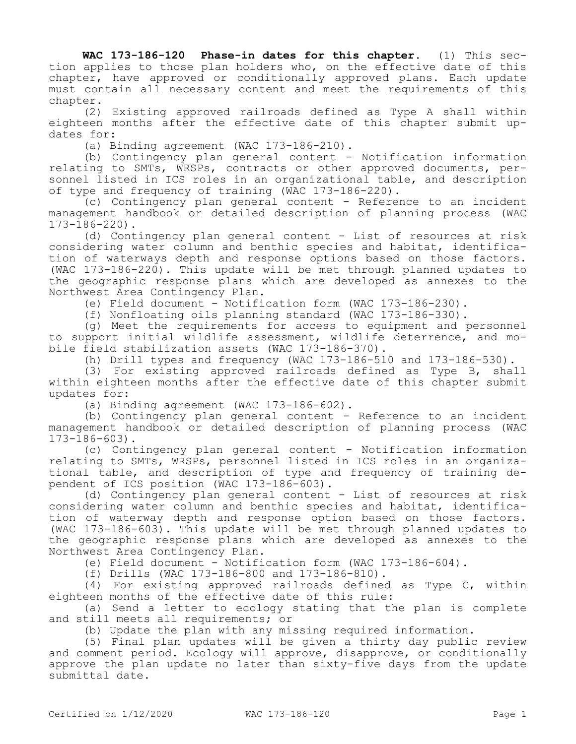**WAC 173-186-120 Phase-in dates for this chapter.** (1) This section applies to those plan holders who, on the effective date of this chapter, have approved or conditionally approved plans. Each update must contain all necessary content and meet the requirements of this chapter.

(2) Existing approved railroads defined as Type A shall within eighteen months after the effective date of this chapter submit updates for:

(a) Binding agreement (WAC 173-186-210).

(b) Contingency plan general content - Notification information relating to SMTs, WRSPs, contracts or other approved documents, personnel listed in ICS roles in an organizational table, and description of type and frequency of training (WAC 173-186-220).

(c) Contingency plan general content - Reference to an incident management handbook or detailed description of planning process (WAC 173-186-220).

(d) Contingency plan general content - List of resources at risk considering water column and benthic species and habitat, identification of waterways depth and response options based on those factors. (WAC 173-186-220). This update will be met through planned updates to the geographic response plans which are developed as annexes to the Northwest Area Contingency Plan.

(e) Field document - Notification form (WAC 173-186-230).

(f) Nonfloating oils planning standard (WAC 173-186-330).

(g) Meet the requirements for access to equipment and personnel to support initial wildlife assessment, wildlife deterrence, and mobile field stabilization assets (WAC 173-186-370).

(h) Drill types and frequency (WAC 173-186-510 and 173-186-530).

(3) For existing approved railroads defined as Type B, shall within eighteen months after the effective date of this chapter submit updates for:

(a) Binding agreement (WAC 173-186-602).

(b) Contingency plan general content - Reference to an incident management handbook or detailed description of planning process (WAC 173-186-603).

(c) Contingency plan general content - Notification information relating to SMTs, WRSPs, personnel listed in ICS roles in an organizational table, and description of type and frequency of training dependent of ICS position (WAC 173-186-603).

(d) Contingency plan general content - List of resources at risk considering water column and benthic species and habitat, identification of waterway depth and response option based on those factors. (WAC 173-186-603). This update will be met through planned updates to the geographic response plans which are developed as annexes to the Northwest Area Contingency Plan.

(e) Field document - Notification form (WAC 173-186-604).

(f) Drills (WAC 173-186-800 and 173-186-810).

(4) For existing approved railroads defined as Type C, within eighteen months of the effective date of this rule:

(a) Send a letter to ecology stating that the plan is complete and still meets all requirements; or

(b) Update the plan with any missing required information.

(5) Final plan updates will be given a thirty day public review and comment period. Ecology will approve, disapprove, or conditionally approve the plan update no later than sixty-five days from the update submittal date.